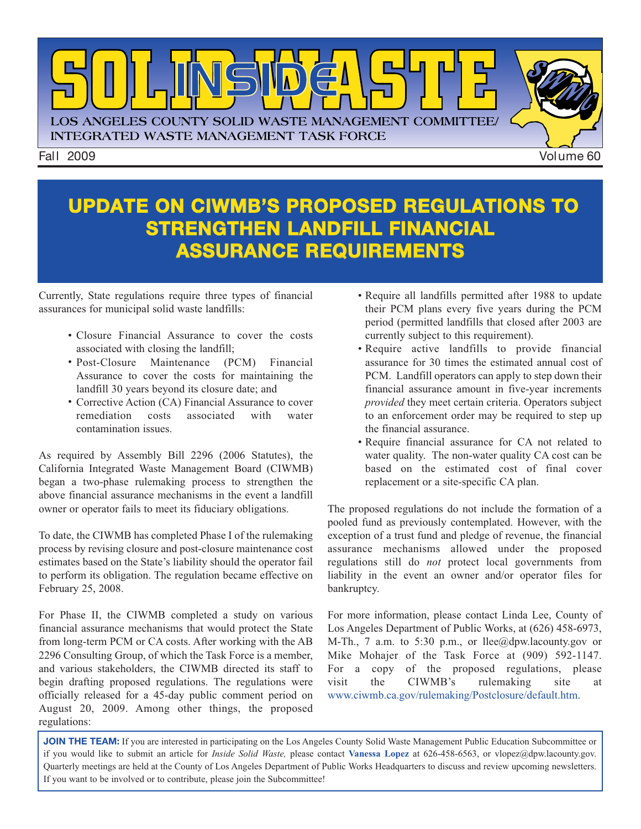

#### **UPDATE ON CIWMB'S PROPOSED REGULATIONS TO STRENGTHEN LANDFILL FINANCIAL ASSURANCE REQUIREMENTS**

Currently, State regulations require three types of financial assurances for municipal solid waste landfills:

- Closure Financial Assurance to cover the costs associated with closing the landfill;
- Post-Closure Maintenance (PCM) Financial Assurance to cover the costs for maintaining the landfill 30 years beyond its closure date; and
- Corrective Action (CA) Financial Assurance to cover remediation costs associated with water contamination issues.

As required by Assembly Bill 2296 (2006 Statutes), the California Integrated Waste Management Board (CIWMB) began a two-phase rulemaking process to strengthen the above financial assurance mechanisms in the event a landfill owner or operator fails to meet its fiduciary obligations.

To date, the CIWMB has completed Phase I of the rulemaking process by revising closure and post-closure maintenance cost estimates based on the State's liability should the operator fail to perform its obligation. The regulation became effective on February 25, 2008.

For Phase II, the CIWMB completed a study on various financial assurance mechanisms that would protect the State from long-term PCM or CA costs. After working with the AB 2296 Consulting Group, of which the Task Force is a member, and various stakeholders, the CIWMB directed its staff to begin drafting proposed regulations. The regulations were officially released for a 45-day public comment period on August 20, 2009. Among other things, the proposed regulations:

- Require all landfills permitted after 1988 to update their PCM plans every five years during the PCM period (permitted landfills that closed after 2003 are currently subject to this requirement).
- Require active landfills to provide financial assurance for 30 times the estimated annual cost of PCM. Landfill operators can apply to step down their financial assurance amount in five-year increments *provided* they meet certain criteria. Operators subject to an enforcement order may be required to step up the financial assurance.
- Require financial assurance for CA not related to water quality. The non-water quality CA cost can be based on the estimated cost of final cover replacement or a site-specific CA plan.

The proposed regulations do not include the formation of a pooled fund as previously contemplated. However, with the exception of a trust fund and pledge of revenue, the financial assurance mechanisms allowed under the proposed regulations still do *not* protect local governments from liability in the event an owner and/or operator files for bankruptcy.

For more information, please contact Linda Lee, County of Los Angeles Department of Public Works, at (626) 458-6973, M-Th., 7 a.m. to 5:30 p.m., or  $\text{llee}(\partial \phi)$  depw. lacounty.gov or Mike Mohajer of the Task Force at (909) 592-1147. For a copy of the proposed regulations, please visit the CIWMB's rulemaking site at [www.ciwmb.ca.gov/rulemaking/Postclosure/default.htm.](http://www.ciwmb.ca.gov/rulemaking/)

**JOIN THE TEAM:** If you are interested in participating on the Los Angeles County Solid Waste Management Public Education Subcommittee or if you would like to submit an article for *Inside Solid Waste,* please contact **Vanessa Lopez** at 626-458-6563, or vlopez@dpw.lacounty.gov. Quarterly meetings are held at the County of Los Angeles Department of Public [Works Headquarters to discuss and review upcoming newsletters.](mailto://vlopez@dpw.laacounty.gov) If you want to be involved or to contribute, please join the Subcommittee!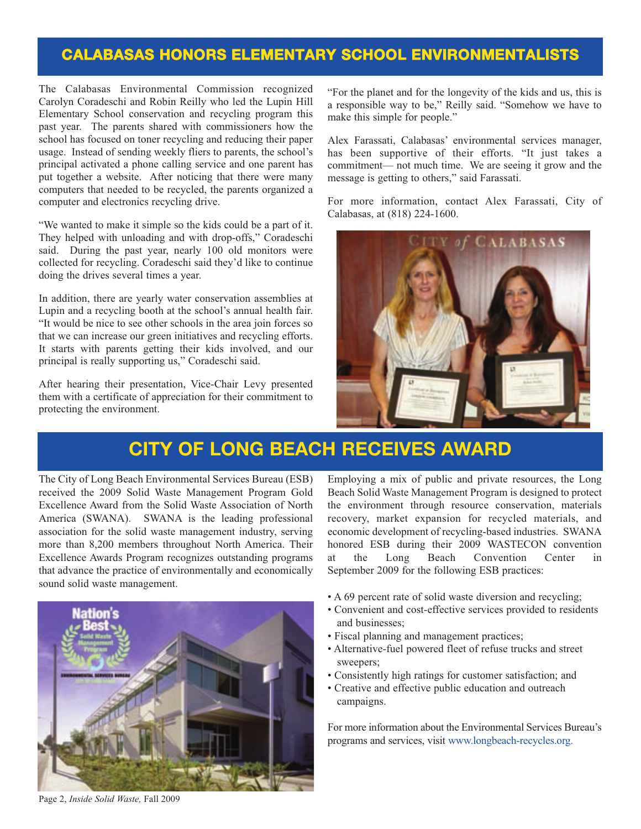#### **CALABASAS HONORS ELEMENTARY SCHOOL ENVIRONMENTALISTS**

The Calabasas Environmental Commission recognized Carolyn Coradeschi and Robin Reilly who led the Lupin Hill Elementary School conservation and recycling program this past year. The parents shared with commissioners how the school has focused on toner recycling and reducing their paper usage. Instead of sending weekly fliers to parents, the school's principal activated a phone calling service and one parent has put together a website. After noticing that there were many computers that needed to be recycled, the parents organized a computer and electronics recycling drive.

"We wanted to make it simple so the kids could be a part of it. They helped with unloading and with drop-offs," Coradeschi said. During the past year, nearly 100 old monitors were collected for recycling. Coradeschi said they'd like to continue doing the drives several times a year.

In addition, there are yearly water conservation assemblies at Lupin and a recycling booth at the school's annual health fair. "It would be nice to see other schools in the area join forces so that we can increase our green initiatives and recycling efforts. It starts with parents getting their kids involved, and our principal is really supporting us," Coradeschi said.

After hearing their presentation, Vice-Chair Levy presented them with a certificate of appreciation for their commitment to protecting the environment.

"For the planet and for the longevity of the kids and us, this is a responsible way to be," Reilly said. "Somehow we have to make this simple for people."

Alex Farassati, Calabasas' environmental services manager, has been supportive of their efforts. "It just takes a commitment— not much time. We are seeing it grow and the message is getting to others," said Farassati.

For [more information, contact Alex Farassati, Cit](http://www.cityofcalabasas.com/)y of Calabasas, at (818) 224-1600.



#### **CITY OF LONG BEACH RECEIVES AWARD**

The City of Long Beach Environmental Services Bureau (ESB) received the 2009 Solid Waste Management Program Gold Excellence Award from the Solid Waste Association of North America (SWANA). SWANA is the leading professional association for the solid waste management industry, serving more than 8,200 members throughout North America. Their Excellence Awards Program recognizes outstanding programs that advance the practice of environmentally and economically sound solid waste management.



Employing a mix of public and private resources, the Long Beach Solid Waste Management Program is designed to protect the environment through resource conservation, materials recovery, market expansion for recycled materials, and economic development of recycling-based industries. SWANA honored ESB during their 2009 WASTECON convention at the Long Beach Convention Center in September 2009 for the following ESB practices:

- A 69 percent rate of solid waste diversion and recycling;
- Convenient and cost-effective services provided to residents and businesses;
- Fiscal planning and management practices;
- Alternative-fuel powered fleet of refuse trucks and street sweepers;
- Consistently high ratings for customer satisfaction; and
- Creative and effective public education and outreach campaigns.

For more information about the Environmental Services Bureau's programs and services, visit [www.longbeach-recycles.org.](http://www.longbeach-recycles.org/home/index.htm)

Page 2, *Inside Solid Waste,* Fall 2009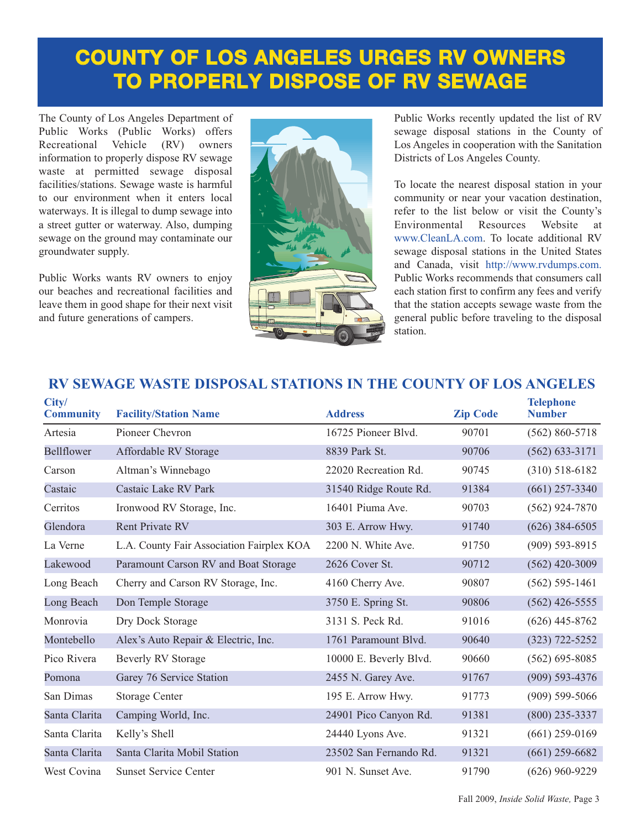## **COUNTY OF LOS ANGELES URGES RV OWNERS TO PROPERLY DISPOSE OF RV SEWAGE**

The County of Los Angeles Department of Public Works (Public Works) offers Recreational Vehicle (RV) owners information to properly dispose RV sewage waste at permitted sewage disposal facilities/stations. Sewage waste is harmful to our environment when it enters local waterways. It is illegal to dump sewage into a street gutter or waterway. Also, dumping sewage on the ground may contaminate our groundwater supply.

Public Works wants RV owners to enjoy our beaches and recreational facilities and leave them in good shape for their next visit and future generations of campers.



Public Works recently updated the list of RV sewage disposal stations in the County of Los Angeles in cooperation with the Sanitation Districts of Los Angeles County.

To locate the nearest disposal station in your community or near your vacation destination, refer to the list below or visit the County's Environmental Resources Website at www.CleanLA.com. To locate additional RV sewage disposal stations in the United States and Canada, visit http://www.rvdumps.com. Public Works recommends that consumers call each station first to confirm any fees and verify that the station accepts sewage waste from the general public before traveling to the disposal station.

#### **City/ Telephone Community Facility/Station Name Address Zip Code Number** Artesia Pioneer Chevron 16725 Pioneer Blvd. 90701 (562) 860-5718 Bellflower Affordable RV Storage 8839 Park St. 90706 (562) 633-3171 Carson Altman's Winnebago 22020 Recreation Rd. 90745 (310) 518-6182 Castaic Castaic Lake RV Park 31540 Ridge Route Rd. 91384 (661) 257-3340 Cerritos Ironwood RV Storage, Inc. 16401 Piuma Ave. 90703 (562) 924-7870 Glendora Rent Private RV 303 E. Arrow Hwy. 91740 (626) 384-6505 La Verne L.A. County Fair Association Fairplex KOA 2200 N. White Ave. 91750 (909) 593-8915 Lakewood Paramount Carson RV and Boat Storage 2626 Cover St. 90712 (562) 420-3009 Long Beach Cherry and Carson RV Storage, Inc. 4160 Cherry Ave. 90807 (562) 595-1461 Long Beach Don Temple Storage 3750 E. Spring St. 90806 (562) 426-5555 Monrovia Dry Dock Storage 3131 S. Peck Rd. 91016 (626) 445-8762 Montebello Alex's Auto Repair & Electric, Inc. 1761 Paramount Blvd. 90640 (323) 722-5252 Pico Rivera Beverly RV Storage 10000 E. Beverly Blvd. 90660 (562) 695-8085 Pomona Garey 76 Service Station 2455 N. Garey Ave. 91767 (909) 593-4376 San Dimas Storage Center 195 E. Arrow Hwy. 91773 (909) 599-5066 Santa Clarita Camping World, Inc. 24901 Pico Canyon Rd. 91381 (800) 235-3337 Santa Clarita Kelly's Shell 24440 Lyons Ave. 91321 (661) 259-0169 Santa Clarita Santa Clarita Mobil Station 23502 San Fernando Rd. 91321 (661) 259-6682 West Covina Sunset Service Center 901 N. Sunset Ave. 91790 (626) 960-9229

#### **RV SEWAGE WASTE DISPOSAL STATIONS IN THE COUNTY OF LOS ANGELES**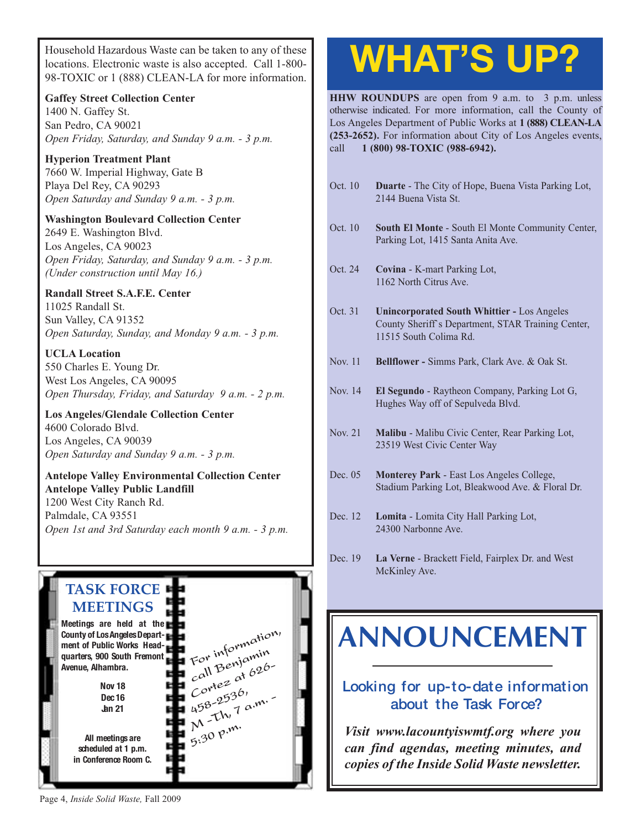Household Hazardous Waste can be taken to any of these locations. Electronic waste is also accepted. Call 1-800- 98-TOXIC or 1 (888) CLEAN-LA for more information.

**Gaffey Street Collection Center**

1400 N. Gaffey St. San Pedro, CA 90021 *Open Friday, Saturday, and Sunday 9 a.m. - 3 p.m.*

**Hyperion Treatment Plant** 7660 W. Imperial Highway, Gate B Playa Del Rey, CA 90293 *Open Saturday and Sunday 9 a.m. - 3 p.m.*

**Washington Boulevard Collection Center** 2649 E. Washington Blvd. Los Angeles, CA 90023 *Open Friday, Saturday, and Sunday 9 a.m. - 3 p.m. (Under construction until May 16.)*

**Randall Street S.A.F.E. Center** 11025 Randall St. Sun Valley, CA 91352 *Open Saturday, Sunday, and Monday 9 a.m. - 3 p.m.*

**UCLA Location** 550 Charles E. Young Dr. West Los Angeles, CA 90095 *[Open Thursday, Friday, and Saturday 9 a.m. - 2 p.m.](http://www.lacity.org/san/solid_resources/special/hhw/safe_centers/index.htm)*

**Los Angeles/Glendale Collection Center** 4600 Colorado Blvd. Los Angeles, CA 90039 *Open Saturday and Sunday 9 a.m. - 3 p.m.*

**Antelope Valley Environmental Collection Center Antelope Valley Public Landfill** 1200 West City Ranch Rd. Palmdale, CA 93551 *[Open 1st and 3rd Saturday each month 9 a.m. - 3 p.m.](http://ladpw.org/epd/avecc/index.cfm)*



# **WHAT'S UP?**

**HHW ROUNDUPS** are open from 9 a.m. to 3 p.m. unless otherwise indicated. For more information, call the County of Los Angeles Department of Public Works at **1 (888) CLEAN-LA (253-2652).** For information about City of Los Angeles events, call **1 (800) 98-TOXIC (988-6942).**

- Oct. 10 **Duarte** The City of Hope, Buena Vista Parking Lot, 2144 Buena Vista St.
- Oct. 10 **South El Monte** South El Monte Community Center, Parking Lot, 1415 Santa Anita Ave.
- Oct. 24 **Covina** K-mart Parking Lot, 1162 North Citrus Ave.
- Oct. 31 **Unincorporated South Whittier** Los Angeles County Sheriff`s Department, STAR Training Center, 11515 South Colima Rd.
- Nov. 11 **Bellflower** Simms Park, Clark Ave. & Oak St.
- Nov. 14 **El Segundo** Raytheon Company, Parking Lot G, Hughes Way off of Sepulveda Blvd.
- Nov. 21 **Malibu** Malibu Civic Center, Rear Parking Lot, 23519 West Civic Center Way
- Dec. 05 **Monterey Park** East Los Angeles College, Stadium Parking Lot, Bleakwood Ave. & Floral Dr.
- Dec. 12 **Lomita** Lomita City Hall Parking Lot, 24300 Narbonne Ave.
- Dec. 19 **La Verne** Brackett Field, Fairplex Dr. and West McKinley Ave.

## **[ANNOUNCEMENT](http://dpw.lacounty.gov/epd/tf/)**

#### **Looking for up-to-date information about the Task Force?**

*Visit www.lacountyiswmtf.org where you can find agendas, meeting minutes, and copies of the Inside Solid Waste newsletter.*

Page 4, *Inside Solid Waste,* Fall 2009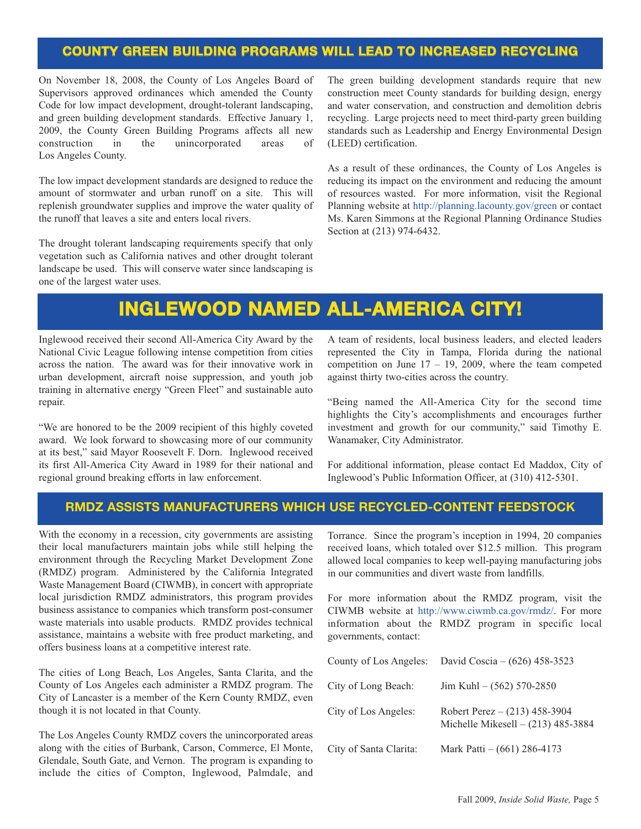#### **COUNTY GREEN BUILDING PROGRAMS WILL LEAD TO INCREASED RECYCLING**

On November 18, 2008, the County of Los Angeles Board of Supervisors approved ordinances which amended the County Code for low impact development, drought-tolerant landscaping, and green building development standards. Effective January 1, 2009, the County Green Building Programs affects all new construction in the unincorporated areas of Los Angeles County.

The low impact development standards are designed to reduce the amount of stormwater and urban runoff on a site. This will replenish groundwater supplies and improve the water quality of the runoff that leaves a site and enters local rivers.

The drought tolerant landscaping requirements specify that only vegetation such as California natives and other drought tolerant landscape be used. This will conserve water since landscaping is one of the largest water uses.

The green building development standards require that new construction meet County standards for building design, energy and water conservation, and construction and demolition debris recycling. Large projects need to meet third-party green building standards such as Leadership and Energy Environmental Design (LEED) certification.

As a result of these ordinances, the County of Los Angeles is reducing its impact on the environment and reducing the amount of resources wasted. For more information, visit the Regional Planning website at http://planning.lacounty.gov/green or contact Ms. Karen Simmons at the Regional Planning Ordinance Studies Section at (213) 974-6432.

#### **[INGLEWOOD NAMED ALL-AMERICA CITY!](http://www.cityofinglewood.org/default.asp)**

Inglewood received their second All-America City Award by the National Civic League following intense competition from cities across the nation. The award was for their innovative work in urban development, aircraft noise suppression, and youth job training in alternative energy "Green Fleet" and sustainable auto repair.

"We are honored to be the 2009 recipient of this highly coveted award. We look forward to showcasing more of our community at its best," said Mayor Roosevelt F. Dorn. Inglewood received its first All-America City Award in 1989 for their national and regional ground breaking efforts in law enforcement.

A team of residents, local business leaders, and elected leaders represented the City in Tampa, Florida during the national competition on June  $17 - 19$ , 2009, where the team competed against thirty two-cities across the country.

"Being named the All-America City for the second time highlights the City's accomplishments and encourages further investment and growth for our community," said Timothy E. Wanamaker, City Administrator.

For additional information, please contact Ed Maddox, City of Inglewood's Public Information Officer, at (310) 412-5301.

#### **RMDZ ASSISTS MANUFACTURERS WHICH USE RECYCLED-CONTENT FEEDSTOCK**

With the economy in a recession, city governments are assisting their local manufacturers maintain jobs while still helping the environment through the Recycling Market Development Zone (RMDZ) program. Administered by the California Integrated Waste Management Board (CIWMB), in concert with appropriate local jurisdiction RMDZ administrators, this program provides business assistance to companies which transform post-consumer waste materials into usable products. RMDZ provides technical assistance, maintains a website with free product marketing, and offers business loans at a competitive interest rate.

The cities of Long Beach, Los Angeles, Santa Clarita, and the County of Los Angeles each administer a RMDZ program. The City of Lancaster is a member of the Kern County RMDZ, even though it is not located in that County.

The Los Angeles County RMDZ covers the unincorporated areas along with the cities of Burbank, Carson, Commerce, El Monte, Glendale, South Gate, and Vernon. The program is expanding to include the cities of Compton, Inglewood, Palmdale, and Torrance. Since the program's inception in 1994, 20 companies received loans, which totaled over \$12.5 million. This program allowed local companies to keep well-paying manufacturing jobs in our communities and divert waste from landfills.

For more information about the RMDZ program, visit the CIWMB website at http://www.ciwmb.ca.gov/rmdz/. For more information about the RMDZ program in specific local governments, contact:

|                        | County of Los Angeles: David Coscia $- (626)$ 458-3523                  |
|------------------------|-------------------------------------------------------------------------|
| City of Long Beach:    | $\text{Jim Kuhl} - (562) 570 - 2850$                                    |
| City of Los Angeles:   | Robert Perez $- (213)$ 458-3904<br>Michelle Mikesell $- (213)$ 485-3884 |
| City of Santa Clarita: | Mark Patti $- (661)$ 286-4173                                           |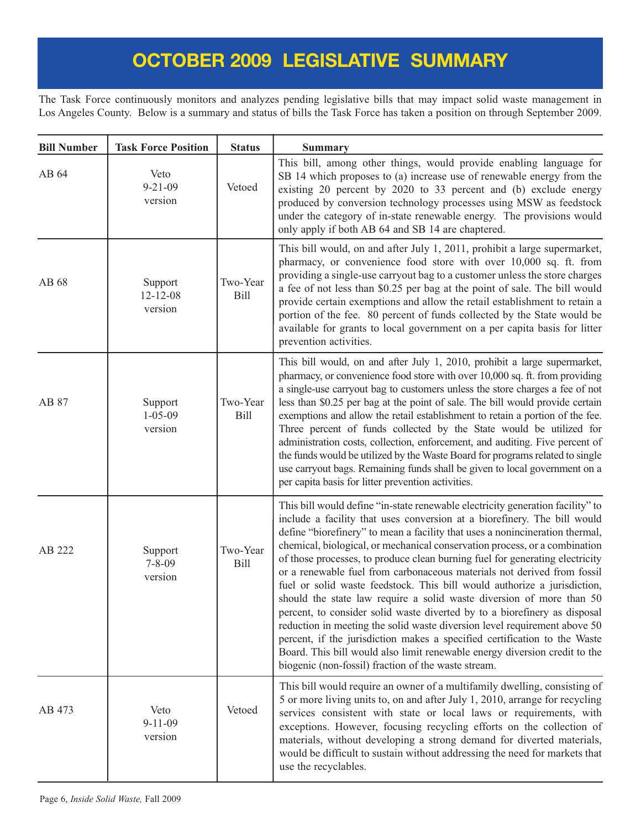The Task Force continuously monitors and analyzes pending legislative bills that may impact solid waste management in Los Angeles County. Below is a summary and status of bills the Task Force has taken a position on through September 2009.

| <b>Bill Number</b> | <b>Task Force Position</b>           | <b>Status</b>           | <b>Summary</b>                                                                                                                                                                                                                                                                                                                                                                                                                                                                                                                                                                                                                                                                                                                                                                                                                                                                                                                                                                                                      |
|--------------------|--------------------------------------|-------------------------|---------------------------------------------------------------------------------------------------------------------------------------------------------------------------------------------------------------------------------------------------------------------------------------------------------------------------------------------------------------------------------------------------------------------------------------------------------------------------------------------------------------------------------------------------------------------------------------------------------------------------------------------------------------------------------------------------------------------------------------------------------------------------------------------------------------------------------------------------------------------------------------------------------------------------------------------------------------------------------------------------------------------|
| AB 64              | Veto<br>$9 - 21 - 09$<br>version     | Vetoed                  | This bill, among other things, would provide enabling language for<br>SB 14 which proposes to (a) increase use of renewable energy from the<br>existing 20 percent by 2020 to 33 percent and (b) exclude energy<br>produced by conversion technology processes using MSW as feedstock<br>under the category of in-state renewable energy. The provisions would<br>only apply if both AB 64 and SB 14 are chaptered.                                                                                                                                                                                                                                                                                                                                                                                                                                                                                                                                                                                                 |
| AB 68              | Support<br>$12 - 12 - 08$<br>version | Two-Year<br><b>Bill</b> | This bill would, on and after July 1, 2011, prohibit a large supermarket,<br>pharmacy, or convenience food store with over 10,000 sq. ft. from<br>providing a single-use carryout bag to a customer unless the store charges<br>a fee of not less than \$0.25 per bag at the point of sale. The bill would<br>provide certain exemptions and allow the retail establishment to retain a<br>portion of the fee. 80 percent of funds collected by the State would be<br>available for grants to local government on a per capita basis for litter<br>prevention activities.                                                                                                                                                                                                                                                                                                                                                                                                                                           |
| AB 87              | Support<br>$1 - 05 - 09$<br>version  | Two-Year<br><b>Bill</b> | This bill would, on and after July 1, 2010, prohibit a large supermarket,<br>pharmacy, or convenience food store with over 10,000 sq. ft. from providing<br>a single-use carryout bag to customers unless the store charges a fee of not<br>less than \$0.25 per bag at the point of sale. The bill would provide certain<br>exemptions and allow the retail establishment to retain a portion of the fee.<br>Three percent of funds collected by the State would be utilized for<br>administration costs, collection, enforcement, and auditing. Five percent of<br>the funds would be utilized by the Waste Board for programs related to single<br>use carryout bags. Remaining funds shall be given to local government on a<br>per capita basis for litter prevention activities.                                                                                                                                                                                                                              |
| AB 222             | Support<br>$7 - 8 - 09$<br>version   | Two-Year<br><b>Bill</b> | This bill would define "in-state renewable electricity generation facility" to<br>include a facility that uses conversion at a biorefinery. The bill would<br>define "biorefinery" to mean a facility that uses a nonincineration thermal,<br>chemical, biological, or mechanical conservation process, or a combination<br>of those processes, to produce clean burning fuel for generating electricity<br>or a renewable fuel from carbonaceous materials not derived from fossil<br>fuel or solid waste feedstock. This bill would authorize a jurisdiction,<br>should the state law require a solid waste diversion of more than 50<br>percent, to consider solid waste diverted by to a biorefinery as disposal<br>reduction in meeting the solid waste diversion level requirement above 50<br>percent, if the jurisdiction makes a specified certification to the Waste<br>Board. This bill would also limit renewable energy diversion credit to the<br>biogenic (non-fossil) fraction of the waste stream. |
| AB 473             | Veto<br>$9 - 11 - 09$<br>version     | Vetoed                  | This bill would require an owner of a multifamily dwelling, consisting of<br>5 or more living units to, on and after July 1, 2010, arrange for recycling<br>services consistent with state or local laws or requirements, with<br>exceptions. However, focusing recycling efforts on the collection of<br>materials, without developing a strong demand for diverted materials,<br>would be difficult to sustain without addressing the need for markets that<br>use the recyclables.                                                                                                                                                                                                                                                                                                                                                                                                                                                                                                                               |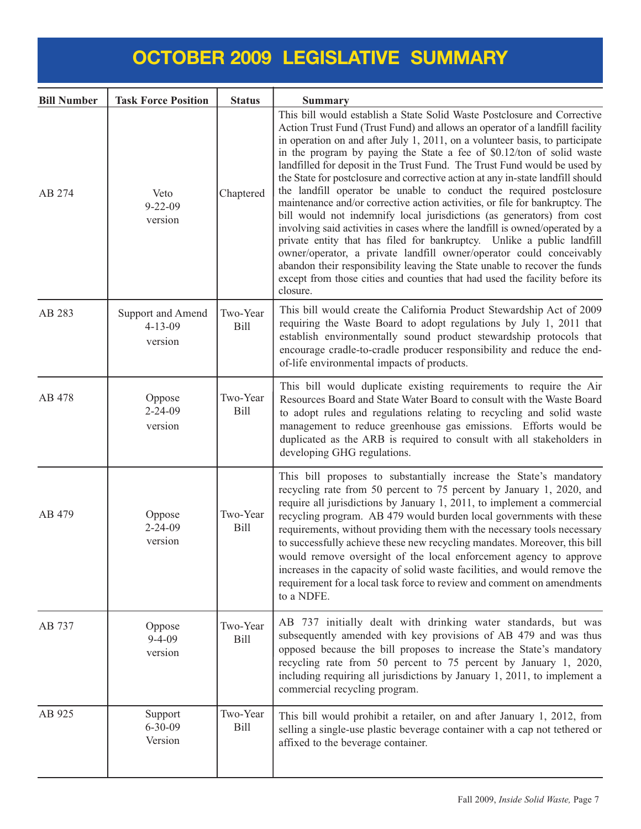| <b>Bill Number</b> | <b>Task Force Position</b>                    | <b>Status</b>           | <b>Summary</b>                                                                                                                                                                                                                                                                                                                                                                                                                                                                                                                                                                                                                                                                                                                                                                                                                                                                                                                                                                                                                                                                                                               |
|--------------------|-----------------------------------------------|-------------------------|------------------------------------------------------------------------------------------------------------------------------------------------------------------------------------------------------------------------------------------------------------------------------------------------------------------------------------------------------------------------------------------------------------------------------------------------------------------------------------------------------------------------------------------------------------------------------------------------------------------------------------------------------------------------------------------------------------------------------------------------------------------------------------------------------------------------------------------------------------------------------------------------------------------------------------------------------------------------------------------------------------------------------------------------------------------------------------------------------------------------------|
| AB 274             | Veto<br>$9 - 22 - 09$<br>version              | Chaptered               | This bill would establish a State Solid Waste Postclosure and Corrective<br>Action Trust Fund (Trust Fund) and allows an operator of a landfill facility<br>in operation on and after July 1, 2011, on a volunteer basis, to participate<br>in the program by paying the State a fee of \$0.12/ton of solid waste<br>landfilled for deposit in the Trust Fund. The Trust Fund would be used by<br>the State for postclosure and corrective action at any in-state landfill should<br>the landfill operator be unable to conduct the required postclosure<br>maintenance and/or corrective action activities, or file for bankruptcy. The<br>bill would not indemnify local jurisdictions (as generators) from cost<br>involving said activities in cases where the landfill is owned/operated by a<br>private entity that has filed for bankruptcy. Unlike a public landfill<br>owner/operator, a private landfill owner/operator could conceivably<br>abandon their responsibility leaving the State unable to recover the funds<br>except from those cities and counties that had used the facility before its<br>closure. |
| AB 283             | Support and Amend<br>$4 - 13 - 09$<br>version | Two-Year<br><b>Bill</b> | This bill would create the California Product Stewardship Act of 2009<br>requiring the Waste Board to adopt regulations by July 1, 2011 that<br>establish environmentally sound product stewardship protocols that<br>encourage cradle-to-cradle producer responsibility and reduce the end-<br>of-life environmental impacts of products.                                                                                                                                                                                                                                                                                                                                                                                                                                                                                                                                                                                                                                                                                                                                                                                   |
| AB 478             | Oppose<br>$2 - 24 - 09$<br>version            | Two-Year<br><b>Bill</b> | This bill would duplicate existing requirements to require the Air<br>Resources Board and State Water Board to consult with the Waste Board<br>to adopt rules and regulations relating to recycling and solid waste<br>management to reduce greenhouse gas emissions. Efforts would be<br>duplicated as the ARB is required to consult with all stakeholders in<br>developing GHG regulations.                                                                                                                                                                                                                                                                                                                                                                                                                                                                                                                                                                                                                                                                                                                               |
| AB 479             | Oppose<br>$2 - 24 - 09$<br>version            | Two-Year<br><b>Bill</b> | This bill proposes to substantially increase the State's mandatory<br>recycling rate from 50 percent to 75 percent by January 1, 2020, and<br>require all jurisdictions by January 1, 2011, to implement a commercial<br>recycling program. AB 479 would burden local governments with these<br>requirements, without providing them with the necessary tools necessary<br>to successfully achieve these new recycling mandates. Moreover, this bill<br>would remove oversight of the local enforcement agency to approve<br>increases in the capacity of solid waste facilities, and would remove the<br>requirement for a local task force to review and comment on amendments<br>to a NDFE.                                                                                                                                                                                                                                                                                                                                                                                                                               |
| AB 737             | Oppose<br>$9 - 4 - 09$<br>version             | Two-Year<br><b>Bill</b> | AB 737 initially dealt with drinking water standards, but was<br>subsequently amended with key provisions of AB 479 and was thus<br>opposed because the bill proposes to increase the State's mandatory<br>recycling rate from 50 percent to 75 percent by January 1, 2020,<br>including requiring all jurisdictions by January 1, 2011, to implement a<br>commercial recycling program.                                                                                                                                                                                                                                                                                                                                                                                                                                                                                                                                                                                                                                                                                                                                     |
| AB 925             | Support<br>$6 - 30 - 09$<br>Version           | Two-Year<br><b>Bill</b> | This bill would prohibit a retailer, on and after January 1, 2012, from<br>selling a single-use plastic beverage container with a cap not tethered or<br>affixed to the beverage container.                                                                                                                                                                                                                                                                                                                                                                                                                                                                                                                                                                                                                                                                                                                                                                                                                                                                                                                                  |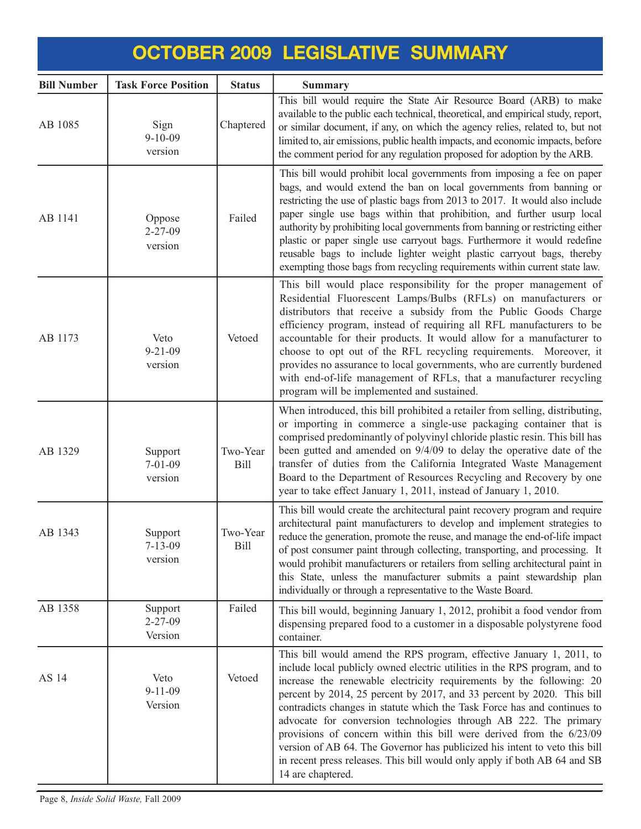| <b>Bill Number</b> | <b>Task Force Position</b>          | <b>Status</b>    | <b>Summary</b>                                                                                                                                                                                                                                                                                                                                                                                                                                                                                                                                                                                                                                                                                               |
|--------------------|-------------------------------------|------------------|--------------------------------------------------------------------------------------------------------------------------------------------------------------------------------------------------------------------------------------------------------------------------------------------------------------------------------------------------------------------------------------------------------------------------------------------------------------------------------------------------------------------------------------------------------------------------------------------------------------------------------------------------------------------------------------------------------------|
| AB 1085            | Sign<br>$9 - 10 - 09$<br>version    | Chaptered        | This bill would require the State Air Resource Board (ARB) to make<br>available to the public each technical, theoretical, and empirical study, report,<br>or similar document, if any, on which the agency relies, related to, but not<br>limited to, air emissions, public health impacts, and economic impacts, before<br>the comment period for any regulation proposed for adoption by the ARB.                                                                                                                                                                                                                                                                                                         |
| AB 1141            | Oppose<br>$2 - 27 - 09$<br>version  | Failed           | This bill would prohibit local governments from imposing a fee on paper<br>bags, and would extend the ban on local governments from banning or<br>restricting the use of plastic bags from 2013 to 2017. It would also include<br>paper single use bags within that prohibition, and further usurp local<br>authority by prohibiting local governments from banning or restricting either<br>plastic or paper single use carryout bags. Furthermore it would redefine<br>reusable bags to include lighter weight plastic carryout bags, thereby<br>exempting those bags from recycling requirements within current state law.                                                                                |
| AB 1173            | Veto<br>$9 - 21 - 09$<br>version    | Vetoed           | This bill would place responsibility for the proper management of<br>Residential Fluorescent Lamps/Bulbs (RFLs) on manufacturers or<br>distributors that receive a subsidy from the Public Goods Charge<br>efficiency program, instead of requiring all RFL manufacturers to be<br>accountable for their products. It would allow for a manufacturer to<br>choose to opt out of the RFL recycling requirements. Moreover, it<br>provides no assurance to local governments, who are currently burdened<br>with end-of-life management of RFLs, that a manufacturer recycling<br>program will be implemented and sustained.                                                                                   |
| AB 1329            | Support<br>$7 - 01 - 09$<br>version | Two-Year<br>Bill | When introduced, this bill prohibited a retailer from selling, distributing,<br>or importing in commerce a single-use packaging container that is<br>comprised predominantly of polyvinyl chloride plastic resin. This bill has<br>been gutted and amended on 9/4/09 to delay the operative date of the<br>transfer of duties from the California Integrated Waste Management<br>Board to the Department of Resources Recycling and Recovery by one<br>year to take effect January 1, 2011, instead of January 1, 2010.                                                                                                                                                                                      |
| AB 1343            | Support<br>$7 - 13 - 09$<br>version | Two-Year<br>Bill | This bill would create the architectural paint recovery program and require<br>architectural paint manufacturers to develop and implement strategies to<br>reduce the generation, promote the reuse, and manage the end-of-life impact<br>of post consumer paint through collecting, transporting, and processing. It<br>would prohibit manufacturers or retailers from selling architectural paint in<br>this State, unless the manufacturer submits a paint stewardship plan<br>individually or through a representative to the Waste Board.                                                                                                                                                               |
| AB 1358            | Support<br>$2 - 27 - 09$<br>Version | Failed           | This bill would, beginning January 1, 2012, prohibit a food vendor from<br>dispensing prepared food to a customer in a disposable polystyrene food<br>container.                                                                                                                                                                                                                                                                                                                                                                                                                                                                                                                                             |
| AS 14              | Veto<br>$9 - 11 - 09$<br>Version    | Vetoed           | This bill would amend the RPS program, effective January 1, 2011, to<br>include local publicly owned electric utilities in the RPS program, and to<br>increase the renewable electricity requirements by the following: 20<br>percent by 2014, 25 percent by 2017, and 33 percent by 2020. This bill<br>contradicts changes in statute which the Task Force has and continues to<br>advocate for conversion technologies through AB 222. The primary<br>provisions of concern within this bill were derived from the 6/23/09<br>version of AB 64. The Governor has publicized his intent to veto this bill<br>in recent press releases. This bill would only apply if both AB 64 and SB<br>14 are chaptered. |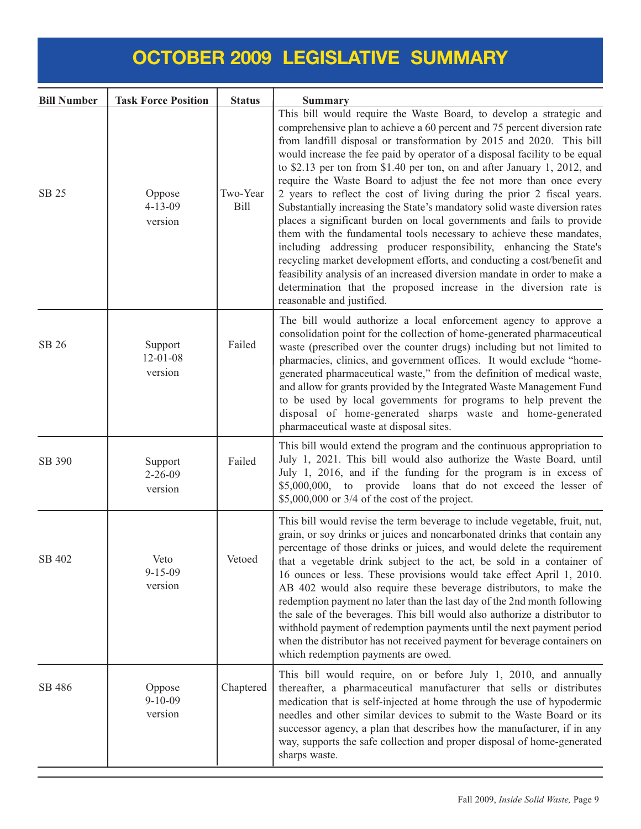| <b>Bill Number</b> | <b>Task Force Position</b>           | <b>Status</b>           | <b>Summary</b>                                                                                                                                                                                                                                                                                                                                                                                                                                                                                                                                                                                                                                                                                                                                                                                                                                                                                                                                                                                                                                                                                    |
|--------------------|--------------------------------------|-------------------------|---------------------------------------------------------------------------------------------------------------------------------------------------------------------------------------------------------------------------------------------------------------------------------------------------------------------------------------------------------------------------------------------------------------------------------------------------------------------------------------------------------------------------------------------------------------------------------------------------------------------------------------------------------------------------------------------------------------------------------------------------------------------------------------------------------------------------------------------------------------------------------------------------------------------------------------------------------------------------------------------------------------------------------------------------------------------------------------------------|
| SB 25              | Oppose<br>$4 - 13 - 09$<br>version   | Two-Year<br><b>Bill</b> | This bill would require the Waste Board, to develop a strategic and<br>comprehensive plan to achieve a 60 percent and 75 percent diversion rate<br>from landfill disposal or transformation by 2015 and 2020. This bill<br>would increase the fee paid by operator of a disposal facility to be equal<br>to \$2.13 per ton from \$1.40 per ton, on and after January 1, 2012, and<br>require the Waste Board to adjust the fee not more than once every<br>2 years to reflect the cost of living during the prior 2 fiscal years.<br>Substantially increasing the State's mandatory solid waste diversion rates<br>places a significant burden on local governments and fails to provide<br>them with the fundamental tools necessary to achieve these mandates,<br>including addressing producer responsibility, enhancing the State's<br>recycling market development efforts, and conducting a cost/benefit and<br>feasibility analysis of an increased diversion mandate in order to make a<br>determination that the proposed increase in the diversion rate is<br>reasonable and justified. |
| SB 26              | Support<br>$12 - 01 - 08$<br>version | Failed                  | The bill would authorize a local enforcement agency to approve a<br>consolidation point for the collection of home-generated pharmaceutical<br>waste (prescribed over the counter drugs) including but not limited to<br>pharmacies, clinics, and government offices. It would exclude "home-<br>generated pharmaceutical waste," from the definition of medical waste,<br>and allow for grants provided by the Integrated Waste Management Fund<br>to be used by local governments for programs to help prevent the<br>disposal of home-generated sharps waste and home-generated<br>pharmaceutical waste at disposal sites.                                                                                                                                                                                                                                                                                                                                                                                                                                                                     |
| SB 390             | Support<br>$2 - 26 - 09$<br>version  | Failed                  | This bill would extend the program and the continuous appropriation to<br>July 1, 2021. This bill would also authorize the Waste Board, until<br>July 1, 2016, and if the funding for the program is in excess of<br>\$5,000,000, to provide loans that do not exceed the lesser of<br>$$5,000,000$ or $3/4$ of the cost of the project.                                                                                                                                                                                                                                                                                                                                                                                                                                                                                                                                                                                                                                                                                                                                                          |
| SB 402             | Veto<br>$9 - 15 - 09$<br>version     | Vetoed                  | This bill would revise the term beverage to include vegetable, fruit, nut,<br>grain, or soy drinks or juices and noncarbonated drinks that contain any<br>percentage of those drinks or juices, and would delete the requirement<br>that a vegetable drink subject to the act, be sold in a container of<br>16 ounces or less. These provisions would take effect April 1, 2010.<br>AB 402 would also require these beverage distributors, to make the<br>redemption payment no later than the last day of the 2nd month following<br>the sale of the beverages. This bill would also authorize a distributor to<br>withhold payment of redemption payments until the next payment period<br>when the distributor has not received payment for beverage containers on<br>which redemption payments are owed.                                                                                                                                                                                                                                                                                      |
| SB 486             | Oppose<br>$9 - 10 - 09$<br>version   | Chaptered               | This bill would require, on or before July 1, 2010, and annually<br>thereafter, a pharmaceutical manufacturer that sells or distributes<br>medication that is self-injected at home through the use of hypodermic<br>needles and other similar devices to submit to the Waste Board or its<br>successor agency, a plan that describes how the manufacturer, if in any<br>way, supports the safe collection and proper disposal of home-generated<br>sharps waste.                                                                                                                                                                                                                                                                                                                                                                                                                                                                                                                                                                                                                                 |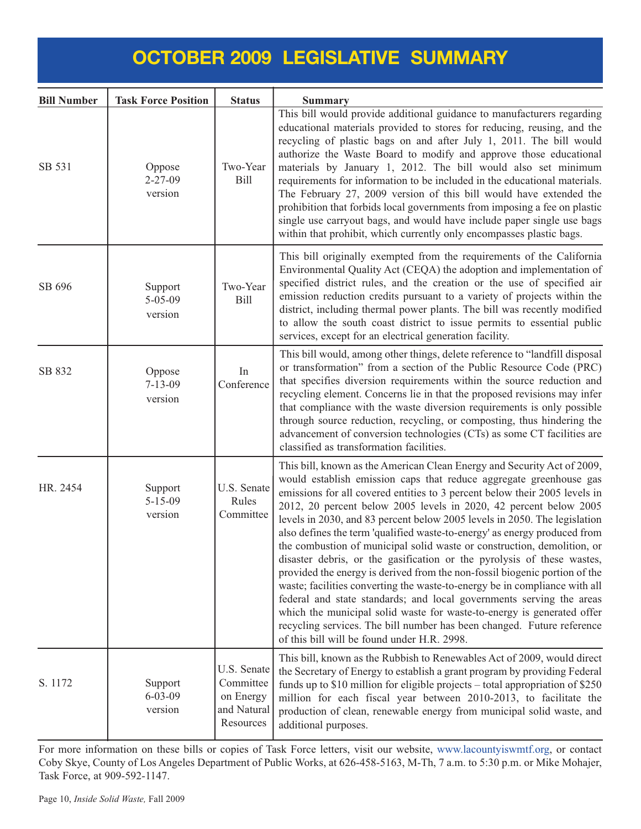| <b>Bill Number</b> | <b>Task Force Position</b>          | <b>Status</b>                                                     | <b>Summary</b>                                                                                                                                                                                                                                                                                                                                                                                                                                                                                                                                                                                                                                                                                                                                                                                                                                                                                                                                                                                                                                         |
|--------------------|-------------------------------------|-------------------------------------------------------------------|--------------------------------------------------------------------------------------------------------------------------------------------------------------------------------------------------------------------------------------------------------------------------------------------------------------------------------------------------------------------------------------------------------------------------------------------------------------------------------------------------------------------------------------------------------------------------------------------------------------------------------------------------------------------------------------------------------------------------------------------------------------------------------------------------------------------------------------------------------------------------------------------------------------------------------------------------------------------------------------------------------------------------------------------------------|
| SB 531             | Oppose<br>$2 - 27 - 09$<br>version  | Two-Year<br><b>Bill</b>                                           | This bill would provide additional guidance to manufacturers regarding<br>educational materials provided to stores for reducing, reusing, and the<br>recycling of plastic bags on and after July 1, 2011. The bill would<br>authorize the Waste Board to modify and approve those educational<br>materials by January 1, 2012. The bill would also set minimum<br>requirements for information to be included in the educational materials.<br>The February 27, 2009 version of this bill would have extended the<br>prohibition that forbids local governments from imposing a fee on plastic<br>single use carryout bags, and would have include paper single use bags<br>within that prohibit, which currently only encompasses plastic bags.                                                                                                                                                                                                                                                                                                       |
| SB 696             | Support<br>$5 - 05 - 09$<br>version | Two-Year<br><b>Bill</b>                                           | This bill originally exempted from the requirements of the California<br>Environmental Quality Act (CEQA) the adoption and implementation of<br>specified district rules, and the creation or the use of specified air<br>emission reduction credits pursuant to a variety of projects within the<br>district, including thermal power plants. The bill was recently modified<br>to allow the south coast district to issue permits to essential public<br>services, except for an electrical generation facility.                                                                                                                                                                                                                                                                                                                                                                                                                                                                                                                                     |
| SB 832             | Oppose<br>$7 - 13 - 09$<br>version  | In<br>Conference                                                  | This bill would, among other things, delete reference to "landfill disposal<br>or transformation" from a section of the Public Resource Code (PRC)<br>that specifies diversion requirements within the source reduction and<br>recycling element. Concerns lie in that the proposed revisions may infer<br>that compliance with the waste diversion requirements is only possible<br>through source reduction, recycling, or composting, thus hindering the<br>advancement of conversion technologies (CTs) as some CT facilities are<br>classified as transformation facilities.                                                                                                                                                                                                                                                                                                                                                                                                                                                                      |
| HR. 2454           | Support<br>$5 - 15 - 09$<br>version | U.S. Senate<br>Rules<br>Committee                                 | This bill, known as the American Clean Energy and Security Act of 2009,<br>would establish emission caps that reduce aggregate greenhouse gas<br>emissions for all covered entities to 3 percent below their 2005 levels in<br>2012, 20 percent below 2005 levels in 2020, 42 percent below 2005<br>levels in 2030, and 83 percent below 2005 levels in 2050. The legislation<br>also defines the term 'qualified waste-to-energy' as energy produced from<br>the combustion of municipal solid waste or construction, demolition, or<br>disaster debris, or the gasification or the pyrolysis of these wastes,<br>provided the energy is derived from the non-fossil biogenic portion of the<br>waste; facilities converting the waste-to-energy be in compliance with all<br>federal and state standards; and local governments serving the areas<br>which the municipal solid waste for waste-to-energy is generated offer<br>recycling services. The bill number has been changed. Future reference<br>of this bill will be found under H.R. 2998. |
| S. 1172            | Support<br>$6 - 03 - 09$<br>version | U.S. Senate<br>Committee<br>on Energy<br>and Natural<br>Resources | This bill, known as the Rubbish to Renewables Act of 2009, would direct<br>the Secretary of Energy to establish a grant program by providing Federal<br>funds up to \$10 million for eligible projects – total appropriation of \$250<br>million for each fiscal year between 2010-2013, to facilitate the<br>production of clean, renewable energy from municipal solid waste, and<br>additional purposes.                                                                                                                                                                                                                                                                                                                                                                                                                                                                                                                                                                                                                                            |

For more information on these bills or copies of Task Force letters, visit our websit[e, www.lacountyiswmtf.org,](www.lacountyiswmtf.org,) or contact Coby Skye, County of Los Angeles Department of Public Works, at 626-458-5163, M-Th, 7 a.m. to 5:30 p.m. or Mike Mohajer, Task Force, at 909-592-1147.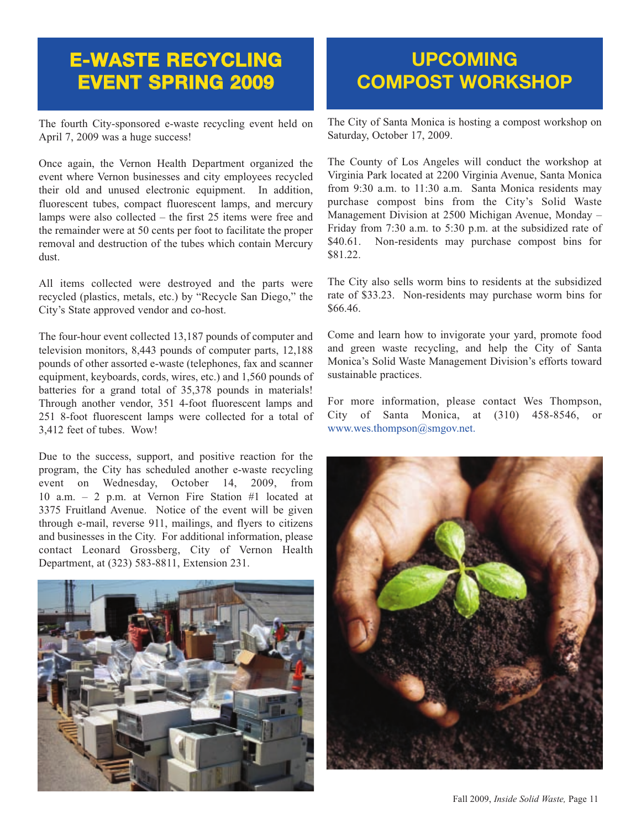#### **E-WASTE RECYCLING EVENT SPRING 2009**

The fourth City-sponsored e-waste recycling event held on April 7, 2009 was a huge success!

Once again, the Vernon Health Department organized the event where Vernon businesses and city employees recycled their old and unused electronic equipment. In addition, fluorescent tubes, compact fluorescent lamps, and mercury lamps were also collected – the first 25 items were free and the remainder were at 50 cents per foot to facilitate the proper removal and destruction of the tubes which contain Mercury dust.

All items collected were destroyed and the parts were recycled (plastics, metals, etc.) by "Recycle San Diego," the City's State approved vendor and co-host.

The four-hour event collected 13,187 pounds of computer and television monitors, 8,443 pounds of computer parts, 12,188 pounds of other assorted e-waste (telephones, fax and scanner equipment, keyboards, cords, wires, etc.) and 1,560 pounds of batteries for a grand total of 35,378 pounds in materials! Through another vendor, 351 4-foot fluorescent lamps and 251 8-foot fluorescent lamps were collected for a total of 3,412 feet of tubes. Wow!

Due to the success, support, and positive reaction for the program, the City has scheduled another e-waste recycling event on Wednesday, October 14, 2009, from 10 a.m. – 2 p.m. at Vernon Fire Station #1 located at 3375 Fruitland Avenue. Notice of the event will be given through e-mail, reverse 911, mailings, and flyers to citizens and businesses in the City. For additional information, please contact Leonard Grossberg, City of Vernon Health Department, at (323) 583-8811, Extension 231.



### **UPCOMING COMPOST WORKSHOP**

[The City of Santa Monica is hosting a compost workshop on](http://www.smgov.net/) Saturday, October 17, 2009.

The County of Los Angeles will conduct the workshop at Virginia Park located at 2200 Virginia Avenue, Santa Monica from 9:30 a.m. to 11:30 a.m. Santa Monica residents may purchase compost bins from the City's Solid Waste Management Division at 2500 Michigan Avenue, Monday – Friday from 7:30 a.m. to 5:30 p.m. at the subsidized rate of \$40.61. Non-residents may purchase compost bins for \$81.22.

The City also sells worm bins to residents at the subsidized rate of \$33.23. Non-residents may purchase worm bins for \$66.46.

Come and learn how to invigorate your yard, promote food and green waste recycling, and help the City of Santa Monica's Solid Waste Management Division's efforts toward sustainable practices.

For more information, please contact Wes Thompson, City of Santa Monica, at (310) 458-8546, or www.wes.thompson@smgov.net.